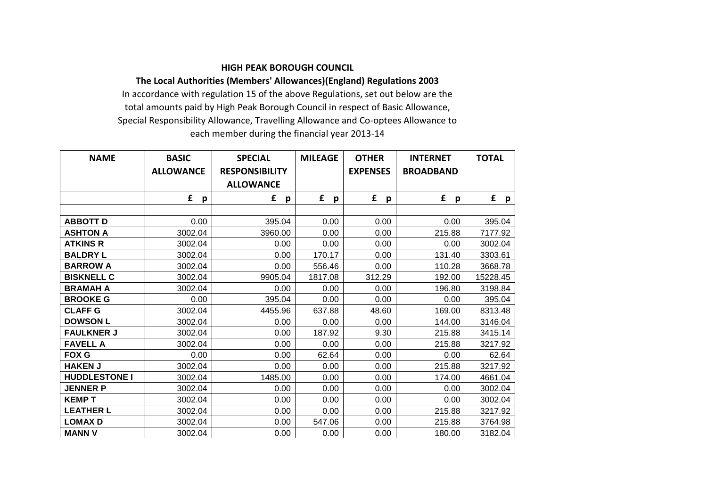## **HIGH PEAK BOROUGH COUNCIL**

## **The Local Authorities (Members' Allowances)(England) Regulations 2003** In accordance with regulation 15 of the above Regulations, set out below are the total amounts paid by High Peak Borough Council in respect of Basic Allowance,

Special Responsibility Allowance, Travelling Allowance and Co-optees Allowance to each member during the financial year 2013-14

| <b>NAME</b>          | <b>BASIC</b>     | <b>SPECIAL</b>        | <b>MILEAGE</b> | <b>OTHER</b>    | <b>INTERNET</b>  | <b>TOTAL</b>      |
|----------------------|------------------|-----------------------|----------------|-----------------|------------------|-------------------|
|                      | <b>ALLOWANCE</b> | <b>RESPONSIBILITY</b> |                | <b>EXPENSES</b> | <b>BROADBAND</b> |                   |
|                      |                  | <b>ALLOWANCE</b>      |                |                 |                  |                   |
|                      | £<br>p           | £<br>p                | £<br>p         | £<br>p          | £<br>p           | £<br>$\mathbf{p}$ |
|                      |                  |                       |                |                 |                  |                   |
| <b>ABBOTT D</b>      | 0.00             | 395.04                | 0.00           | 0.00            | 0.00             | 395.04            |
| <b>ASHTON A</b>      | 3002.04          | 3960.00               | 0.00           | 0.00            | 215.88           | 7177.92           |
| <b>ATKINS R</b>      | 3002.04          | 0.00                  | 0.00           | 0.00            | 0.00             | 3002.04           |
| <b>BALDRY L</b>      | 3002.04          | 0.00                  | 170.17         | 0.00            | 131.40           | 3303.61           |
| <b>BARROW A</b>      | 3002.04          | 0.00                  | 556.46         | 0.00            | 110.28           | 3668.78           |
| <b>BISKNELL C</b>    | 3002.04          | 9905.04               | 1817.08        | 312.29          | 192.00           | 15228.45          |
| <b>BRAMAH A</b>      | 3002.04          | 0.00                  | 0.00           | 0.00            | 196.80           | 3198.84           |
| <b>BROOKE G</b>      | 0.00             | 395.04                | 0.00           | 0.00            | 0.00             | 395.04            |
| <b>CLAFF G</b>       | 3002.04          | 4455.96               | 637.88         | 48.60           | 169.00           | 8313.48           |
| <b>DOWSON L</b>      | 3002.04          | 0.00                  | 0.00           | 0.00            | 144.00           | 3146.04           |
| <b>FAULKNER J</b>    | 3002.04          | 0.00                  | 187.92         | 9.30            | 215.88           | 3415.14           |
| <b>FAVELL A</b>      | 3002.04          | 0.00                  | 0.00           | 0.00            | 215.88           | 3217.92           |
| <b>FOX G</b>         | 0.00             | 0.00                  | 62.64          | 0.00            | 0.00             | 62.64             |
| <b>HAKEN J</b>       | 3002.04          | 0.00                  | 0.00           | 0.00            | 215.88           | 3217.92           |
| <b>HUDDLESTONE I</b> | 3002.04          | 1485.00               | 0.00           | 0.00            | 174.00           | 4661.04           |
| <b>JENNER P</b>      | 3002.04          | 0.00                  | 0.00           | 0.00            | 0.00             | 3002.04           |
| <b>KEMPT</b>         | 3002.04          | 0.00                  | 0.00           | 0.00            | 0.00             | 3002.04           |
| <b>LEATHER L</b>     | 3002.04          | 0.00                  | 0.00           | 0.00            | 215.88           | 3217.92           |
| <b>LOMAX D</b>       | 3002.04          | 0.00                  | 547.06         | 0.00            | 215.88           | 3764.98           |
| <b>MANN V</b>        | 3002.04          | 0.00                  | 0.00           | 0.00            | 180.00           | 3182.04           |